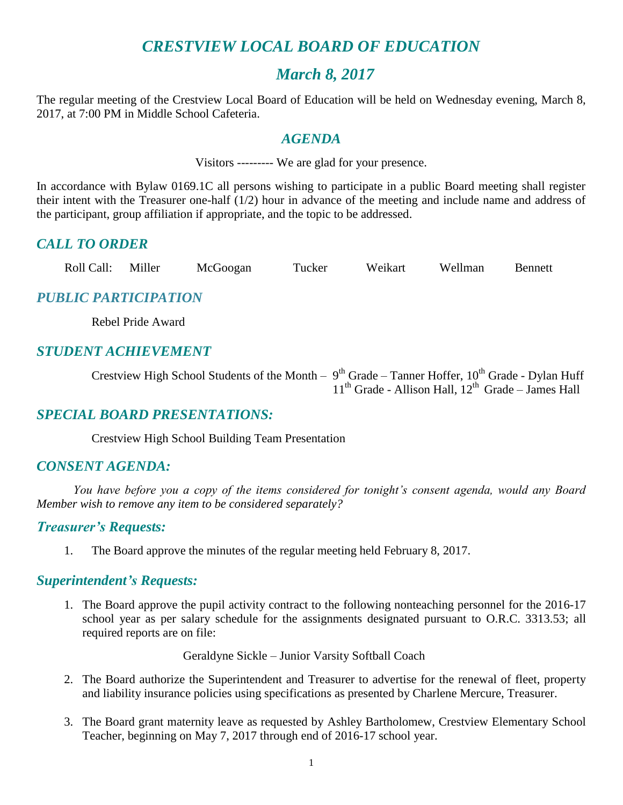## *CRESTVIEW LOCAL BOARD OF EDUCATION*

## *March 8, 2017*

The regular meeting of the Crestview Local Board of Education will be held on Wednesday evening, March 8, 2017, at 7:00 PM in Middle School Cafeteria.

## *AGENDA*

Visitors --------- We are glad for your presence.

In accordance with Bylaw 0169.1C all persons wishing to participate in a public Board meeting shall register their intent with the Treasurer one-half (1/2) hour in advance of the meeting and include name and address of the participant, group affiliation if appropriate, and the topic to be addressed.

## *CALL TO ORDER*

|  | Roll Call: | Miller | McGoogan | Tucker | Weikart | Wellman | Bennett |
|--|------------|--------|----------|--------|---------|---------|---------|
|--|------------|--------|----------|--------|---------|---------|---------|

## *PUBLIC PARTICIPATION*

Rebel Pride Award

## *STUDENT ACHIEVEMENT*

Crestview High School Students of the Month –  $9<sup>th</sup>$  Grade – Tanner Hoffer,  $10<sup>th</sup>$  Grade - Dylan Huff  $11<sup>th</sup>$  Grade - Allison Hall,  $12<sup>th</sup>$  Grade – James Hall

## *SPECIAL BOARD PRESENTATIONS:*

Crestview High School Building Team Presentation

## *CONSENT AGENDA:*

*You have before you a copy of the items considered for tonight's consent agenda, would any Board Member wish to remove any item to be considered separately?*

## *Treasurer's Requests:*

1. The Board approve the minutes of the regular meeting held February 8, 2017.

## *Superintendent's Requests:*

1. The Board approve the pupil activity contract to the following nonteaching personnel for the 2016-17 school year as per salary schedule for the assignments designated pursuant to O.R.C. 3313.53; all required reports are on file:

Geraldyne Sickle – Junior Varsity Softball Coach

- 2. The Board authorize the Superintendent and Treasurer to advertise for the renewal of fleet, property and liability insurance policies using specifications as presented by Charlene Mercure, Treasurer.
- 3. The Board grant maternity leave as requested by Ashley Bartholomew, Crestview Elementary School Teacher, beginning on May 7, 2017 through end of 2016-17 school year.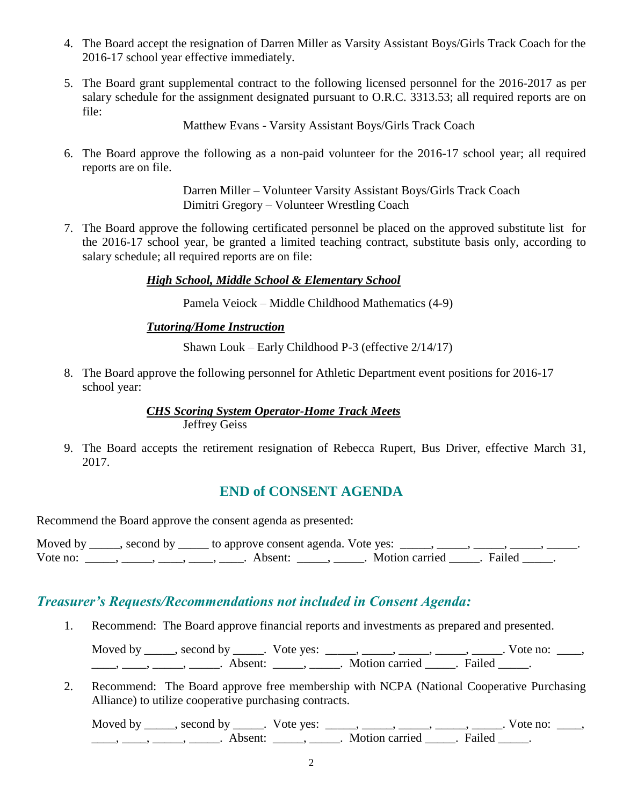- 4. The Board accept the resignation of Darren Miller as Varsity Assistant Boys/Girls Track Coach for the 2016-17 school year effective immediately.
- 5. The Board grant supplemental contract to the following licensed personnel for the 2016-2017 as per salary schedule for the assignment designated pursuant to O.R.C. 3313.53; all required reports are on file:

Matthew Evans - Varsity Assistant Boys/Girls Track Coach

6. The Board approve the following as a non-paid volunteer for the 2016-17 school year; all required reports are on file.

> Darren Miller – Volunteer Varsity Assistant Boys/Girls Track Coach Dimitri Gregory – Volunteer Wrestling Coach

7. The Board approve the following certificated personnel be placed on the approved substitute list for the 2016-17 school year, be granted a limited teaching contract, substitute basis only, according to salary schedule; all required reports are on file:

#### *High School, Middle School & Elementary School*

Pamela Veiock – Middle Childhood Mathematics (4-9)

#### *Tutoring/Home Instruction*

Shawn Louk – Early Childhood P-3 (effective 2/14/17)

8. The Board approve the following personnel for Athletic Department event positions for 2016-17 school year:

#### *CHS Scoring System Operator-Home Track Meets*  Jeffrey Geiss

9. The Board accepts the retirement resignation of Rebecca Rupert, Bus Driver, effective March 31, 2017.

## **END of CONSENT AGENDA**

Recommend the Board approve the consent agenda as presented:

|          | Moved by _____, second by _____ to approve consent agenda. Vote yes: _____, _____, _____, ____ |                           |  |
|----------|------------------------------------------------------------------------------------------------|---------------------------|--|
| Vote no: | Absent <sup>.</sup>                                                                            | . Motion carried . Failed |  |

## *Treasurer's Requests/Recommendations not included in Consent Agenda:*

1. Recommend: The Board approve financial reports and investments as prepared and presented.

Moved by \_\_\_\_\_, second by \_\_\_\_\_. Vote yes: \_\_\_\_\_, \_\_\_\_\_, \_\_\_\_\_, \_\_\_\_\_, \_\_\_\_\_. Vote no: \_\_\_\_,  $\frac{1}{\sqrt{2}}$ ,  $\frac{1}{\sqrt{2}}$ ,  $\frac{1}{\sqrt{2}}$ ,  $\frac{1}{\sqrt{2}}$ ,  $\frac{1}{\sqrt{2}}$ ,  $\frac{1}{\sqrt{2}}$ ,  $\frac{1}{\sqrt{2}}$ ,  $\frac{1}{\sqrt{2}}$ ,  $\frac{1}{\sqrt{2}}$ ,  $\frac{1}{\sqrt{2}}$ ,  $\frac{1}{\sqrt{2}}$ ,  $\frac{1}{\sqrt{2}}$ ,  $\frac{1}{\sqrt{2}}$ ,  $\frac{1}{\sqrt{2}}$ ,  $\frac{1}{\sqrt{2}}$ ,  $\frac{1}{\sqrt{2}}$ 

2. Recommend: The Board approve free membership with NCPA (National Cooperative Purchasing Alliance) to utilize cooperative purchasing contracts.

Moved by \_\_\_\_\_, second by \_\_\_\_\_. Vote yes: \_\_\_\_\_, \_\_\_\_\_, \_\_\_\_\_, \_\_\_\_\_, \_\_\_\_\_. Vote no: \_\_\_\_,  $\underline{\hspace{1cm}}$ ,  $\underline{\hspace{1cm}}$ ,  $\underline{\hspace{1cm}}$ ,  $\underline{\hspace{1cm}}$ . Absent:  $\underline{\hspace{1cm}}$ ,  $\underline{\hspace{1cm}}$ . Motion carried  $\underline{\hspace{1cm}}$ . Failed  $\underline{\hspace{1cm}}$ .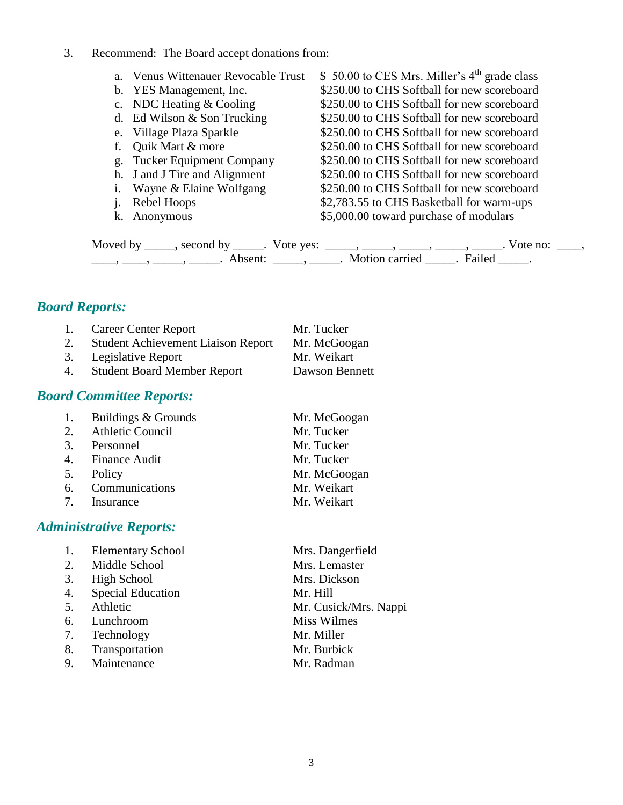3. Recommend: The Board accept donations from:

| a. Venus Wittenauer Revocable Trust | \$ 50.00 to CES Mrs. Miller's $4th$ grade class |
|-------------------------------------|-------------------------------------------------|
| b. YES Management, Inc.             | \$250.00 to CHS Softball for new scoreboard     |
| c. NDC Heating & Cooling            | \$250.00 to CHS Softball for new scoreboard     |
| d. Ed Wilson & Son Trucking         | \$250.00 to CHS Softball for new scoreboard     |
| e. Village Plaza Sparkle            | \$250.00 to CHS Softball for new scoreboard     |
| f. Quik Mart & more                 | \$250.00 to CHS Softball for new scoreboard     |
| g. Tucker Equipment Company         | \$250.00 to CHS Softball for new scoreboard     |
| h. J and J Tire and Alignment       | \$250.00 to CHS Softball for new scoreboard     |
| i. Wayne & Elaine Wolfgang          | \$250.00 to CHS Softball for new scoreboard     |
| <i>i.</i> Rebel Hoops               | \$2,783.55 to CHS Basketball for warm-ups       |
| k. Anonymous                        | \$5,000.00 toward purchase of modulars          |
|                                     |                                                 |

Moved by \_\_\_\_\_, second by \_\_\_\_\_. Vote yes:  $\_\_\_\_\_\_\_\_\_\_\_\_\_\_\_$  \_\_\_\_\_, \_\_\_\_\_, \_\_\_\_\_. Vote no:  $\_\_\_\_\_\_\$ \_\_\_\_\_, \_\_\_\_\_\_, \_\_\_\_\_\_\_. Absent: \_\_\_\_\_\_, \_\_\_\_\_\_. Motion carried \_\_\_\_\_\_. Failed \_\_\_\_\_.

## *Board Reports:*

| 1. | <b>Career Center Report</b>               | Mr. Tucker     |
|----|-------------------------------------------|----------------|
| 2. | <b>Student Achievement Liaison Report</b> | Mr. McGoogan   |
|    | 3. Legislative Report                     | Mr. Weikart    |
| 4. | <b>Student Board Member Report</b>        | Dawson Bennett |

## *Board Committee Reports:*

| 1. | Buildings & Grounds | Mr. McGoogan |
|----|---------------------|--------------|
|    | 2. Athletic Council | Mr. Tucker   |
|    | 3. Personnel        | Mr. Tucker   |
|    | 4. Finance Audit    | Mr. Tucker   |
|    | 5. Policy           | Mr. McGoogan |
|    | 6. Communications   | Mr. Weikart  |
|    | 7. Insurance        | Mr. Weikart  |

## *Administrative Reports:*

| 1. | <b>Elementary School</b> | Mrs. Dangerfield      |
|----|--------------------------|-----------------------|
| 2. | Middle School            | Mrs. Lemaster         |
| 3. | High School              | Mrs. Dickson          |
| 4. | <b>Special Education</b> | Mr. Hill              |
| 5. | Athletic                 | Mr. Cusick/Mrs. Nappi |
| 6. | Lunchroom                | Miss Wilmes           |
| 7. | Technology               | Mr. Miller            |
| 8. | Transportation           | Mr. Burbick           |
| 9. | Maintenance              | Mr. Radman            |
|    |                          |                       |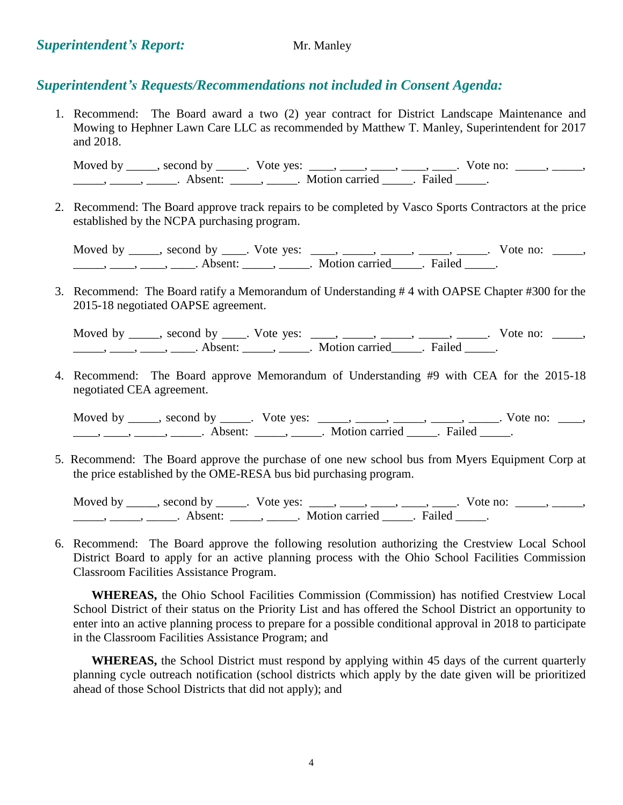## *Superintendent's Requests/Recommendations not included in Consent Agenda:*

1. Recommend: The Board award a two (2) year contract for District Landscape Maintenance and Mowing to Hephner Lawn Care LLC as recommended by Matthew T. Manley, Superintendent for 2017 and 2018.

Moved by \_\_\_\_, second by \_\_\_\_\_. Vote yes: \_\_\_\_, \_\_\_\_, \_\_\_\_, \_\_\_\_, \_\_\_\_. Vote no: \_\_\_\_\_, \_\_\_\_\_, \_\_\_\_\_\_, \_\_\_\_\_\_, \_\_\_\_\_\_\_. Absent: \_\_\_\_\_\_, \_\_\_\_\_\_. Motion carried \_\_\_\_\_\_. Failed \_\_\_\_\_.

2. Recommend: The Board approve track repairs to be completed by Vasco Sports Contractors at the price established by the NCPA purchasing program.

Moved by \_\_\_\_, second by \_\_\_\_. Vote yes: \_\_\_\_, \_\_\_\_, \_\_\_\_, \_\_\_\_, \_\_\_\_. Vote no: \_\_\_\_, \_\_\_\_\_\_, \_\_\_\_\_, \_\_\_\_\_. Absent: \_\_\_\_\_\_, \_\_\_\_\_\_. Motion carried \_\_\_\_\_. Failed \_\_\_\_\_.

3. Recommend: The Board ratify a Memorandum of Understanding # 4 with OAPSE Chapter #300 for the 2015-18 negotiated OAPSE agreement.

Moved by \_\_\_\_, second by \_\_\_\_. Vote yes: \_\_\_\_, \_\_\_\_, \_\_\_\_, \_\_\_\_, \_\_\_\_. Vote no: \_\_\_\_, \_\_\_\_\_\_, \_\_\_\_\_, \_\_\_\_\_\_. Absent: \_\_\_\_\_\_, \_\_\_\_\_\_. Motion carried \_\_\_\_\_. Failed \_\_\_\_\_.

4. Recommend: The Board approve Memorandum of Understanding #9 with CEA for the 2015-18 negotiated CEA agreement.

Moved by \_\_\_\_\_, second by \_\_\_\_\_. Vote yes: \_\_\_\_\_, \_\_\_\_\_, \_\_\_\_\_, \_\_\_\_\_, \_\_\_\_. Vote no: \_\_\_\_, \_\_\_\_\_, \_\_\_\_\_\_, \_\_\_\_\_\_\_. Absent: \_\_\_\_\_\_, \_\_\_\_\_\_. Motion carried \_\_\_\_\_\_. Failed \_\_\_\_\_.

5. Recommend: The Board approve the purchase of one new school bus from Myers Equipment Corp at the price established by the OME-RESA bus bid purchasing program.

Moved by \_\_\_\_, second by \_\_\_\_\_. Vote yes: \_\_\_\_, \_\_\_\_, \_\_\_\_, \_\_\_\_, \_\_\_\_. Vote no: \_\_\_\_\_, \_\_\_\_\_, \_\_\_\_\_\_, \_\_\_\_\_\_, Absent: \_\_\_\_\_, \_\_\_\_\_. Motion carried \_\_\_\_\_. Failed \_\_\_\_\_.

6. Recommend: The Board approve the following resolution authorizing the Crestview Local School District Board to apply for an active planning process with the Ohio School Facilities Commission Classroom Facilities Assistance Program.

**WHEREAS,** the Ohio School Facilities Commission (Commission) has notified Crestview Local School District of their status on the Priority List and has offered the School District an opportunity to enter into an active planning process to prepare for a possible conditional approval in 2018 to participate in the Classroom Facilities Assistance Program; and

**WHEREAS,** the School District must respond by applying within 45 days of the current quarterly planning cycle outreach notification (school districts which apply by the date given will be prioritized ahead of those School Districts that did not apply); and